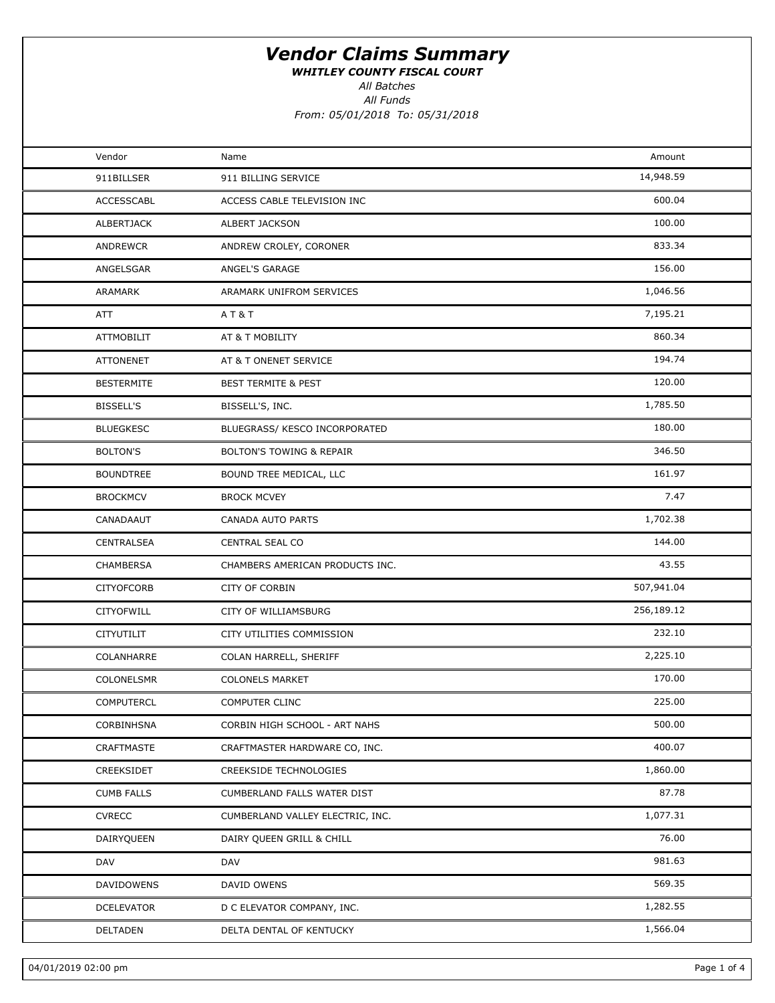WHITLEY COUNTY FISCAL COURT

All Batches

All Funds From: 05/01/2018 To: 05/31/2018

| Vendor            | Name                                | Amount     |  |
|-------------------|-------------------------------------|------------|--|
| 911BILLSER        | 911 BILLING SERVICE                 | 14,948.59  |  |
| <b>ACCESSCABL</b> | ACCESS CABLE TELEVISION INC         | 600.04     |  |
| ALBERTJACK        | ALBERT JACKSON                      | 100.00     |  |
| ANDREWCR          | ANDREW CROLEY, CORONER              | 833.34     |  |
| ANGELSGAR         | ANGEL'S GARAGE                      | 156.00     |  |
| ARAMARK           | ARAMARK UNIFROM SERVICES            | 1,046.56   |  |
| ATT               | AT&T                                | 7,195.21   |  |
| <b>ATTMOBILIT</b> | AT & T MOBILITY                     | 860.34     |  |
| <b>ATTONENET</b>  | AT & T ONENET SERVICE               | 194.74     |  |
| <b>BESTERMITE</b> | <b>BEST TERMITE &amp; PEST</b>      | 120.00     |  |
| <b>BISSELL'S</b>  | BISSELL'S, INC.                     | 1,785.50   |  |
| <b>BLUEGKESC</b>  | BLUEGRASS/ KESCO INCORPORATED       | 180.00     |  |
| <b>BOLTON'S</b>   | <b>BOLTON'S TOWING &amp; REPAIR</b> | 346.50     |  |
| <b>BOUNDTREE</b>  | BOUND TREE MEDICAL, LLC             | 161.97     |  |
| <b>BROCKMCV</b>   | <b>BROCK MCVEY</b>                  | 7.47       |  |
| CANADAAUT         | CANADA AUTO PARTS                   | 1,702.38   |  |
| <b>CENTRALSEA</b> | CENTRAL SEAL CO                     | 144.00     |  |
| CHAMBERSA         | CHAMBERS AMERICAN PRODUCTS INC.     | 43.55      |  |
| <b>CITYOFCORB</b> | CITY OF CORBIN                      | 507,941.04 |  |
| CITYOFWILL        | CITY OF WILLIAMSBURG                | 256,189.12 |  |
| CITYUTILIT        | CITY UTILITIES COMMISSION           | 232.10     |  |
| COLANHARRE        | COLAN HARRELL, SHERIFF              | 2,225.10   |  |
| COLONELSMR        | <b>COLONELS MARKET</b>              | 170.00     |  |
| <b>COMPUTERCL</b> | COMPUTER CLINC                      | 225.00     |  |
| CORBINHSNA        | CORBIN HIGH SCHOOL - ART NAHS       | 500.00     |  |
| CRAFTMASTE        | CRAFTMASTER HARDWARE CO, INC.       | 400.07     |  |
| CREEKSIDET        | <b>CREEKSIDE TECHNOLOGIES</b>       | 1,860.00   |  |
| <b>CUMB FALLS</b> | CUMBERLAND FALLS WATER DIST         | 87.78      |  |
| <b>CVRECC</b>     | CUMBERLAND VALLEY ELECTRIC, INC.    | 1,077.31   |  |
| DAIRYQUEEN        | DAIRY QUEEN GRILL & CHILL           | 76.00      |  |
| DAV               | DAV                                 | 981.63     |  |
| DAVIDOWENS        | DAVID OWENS                         | 569.35     |  |
| <b>DCELEVATOR</b> | D C ELEVATOR COMPANY, INC.          | 1,282.55   |  |
| DELTADEN          | DELTA DENTAL OF KENTUCKY            | 1,566.04   |  |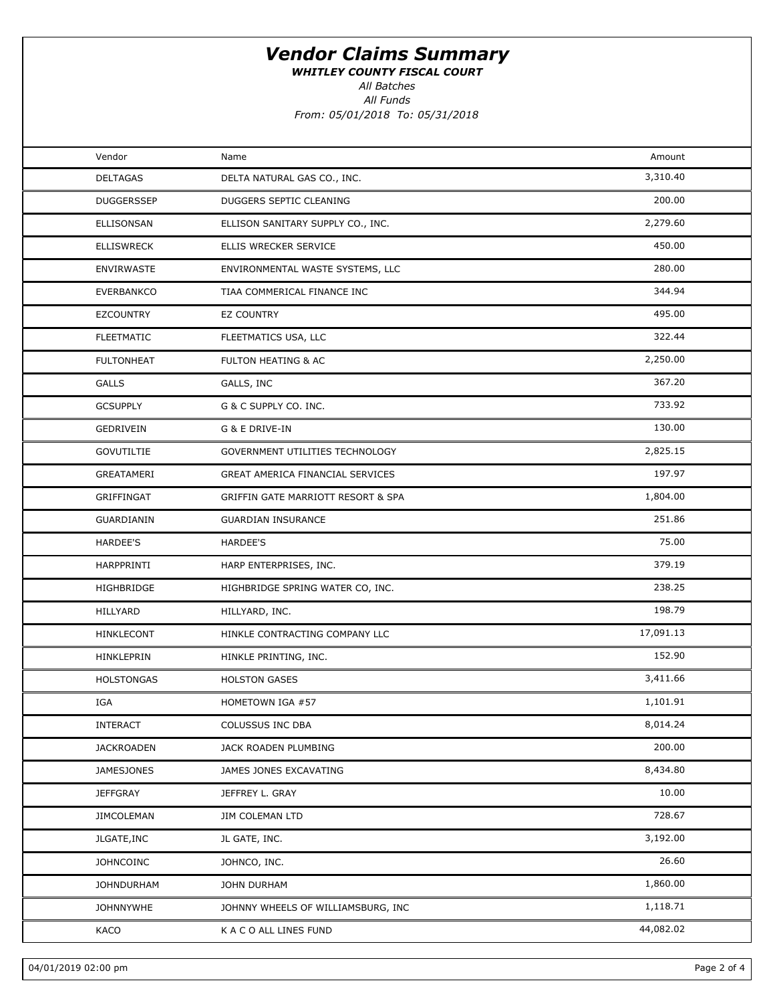WHITLEY COUNTY FISCAL COURT

All Batches

All Funds

From: 05/01/2018 To: 05/31/2018

| Vendor            | Name                               | Amount    |  |
|-------------------|------------------------------------|-----------|--|
| <b>DELTAGAS</b>   | DELTA NATURAL GAS CO., INC.        | 3,310.40  |  |
| <b>DUGGERSSEP</b> | DUGGERS SEPTIC CLEANING            | 200.00    |  |
| <b>ELLISONSAN</b> | ELLISON SANITARY SUPPLY CO., INC.  | 2,279.60  |  |
| <b>ELLISWRECK</b> | ELLIS WRECKER SERVICE              | 450.00    |  |
| <b>ENVIRWASTE</b> | ENVIRONMENTAL WASTE SYSTEMS, LLC   | 280.00    |  |
| <b>EVERBANKCO</b> | TIAA COMMERICAL FINANCE INC        | 344.94    |  |
| <b>EZCOUNTRY</b>  | EZ COUNTRY                         | 495.00    |  |
| <b>FLEETMATIC</b> | FLEETMATICS USA, LLC               | 322.44    |  |
| <b>FULTONHEAT</b> | FULTON HEATING & AC                | 2,250.00  |  |
| <b>GALLS</b>      | GALLS, INC                         | 367.20    |  |
| <b>GCSUPPLY</b>   | G & C SUPPLY CO. INC.              | 733.92    |  |
| GEDRIVEIN         | G & E DRIVE-IN                     | 130.00    |  |
| GOVUTILTIE        | GOVERNMENT UTILITIES TECHNOLOGY    | 2,825.15  |  |
| GREATAMERI        | GREAT AMERICA FINANCIAL SERVICES   | 197.97    |  |
| GRIFFINGAT        | GRIFFIN GATE MARRIOTT RESORT & SPA | 1,804.00  |  |
| GUARDIANIN        | <b>GUARDIAN INSURANCE</b>          | 251.86    |  |
| HARDEE'S          | HARDEE'S                           | 75.00     |  |
| HARPPRINTI        | HARP ENTERPRISES, INC.             | 379.19    |  |
| HIGHBRIDGE        | HIGHBRIDGE SPRING WATER CO, INC.   | 238.25    |  |
| HILLYARD          | HILLYARD, INC.                     | 198.79    |  |
| HINKLECONT        | HINKLE CONTRACTING COMPANY LLC     | 17,091.13 |  |
| HINKLEPRIN        | HINKLE PRINTING, INC.              | 152.90    |  |
| <b>HOLSTONGAS</b> | <b>HOLSTON GASES</b>               | 3,411.66  |  |
| IGA               | HOMETOWN IGA #57                   | 1,101.91  |  |
| <b>INTERACT</b>   | COLUSSUS INC DBA                   | 8,014.24  |  |
| <b>JACKROADEN</b> | JACK ROADEN PLUMBING               | 200.00    |  |
| <b>JAMESJONES</b> | JAMES JONES EXCAVATING             | 8,434.80  |  |
| <b>JEFFGRAY</b>   | JEFFREY L. GRAY                    | 10.00     |  |
| <b>JIMCOLEMAN</b> | JIM COLEMAN LTD                    | 728.67    |  |
| JLGATE, INC       | JL GATE, INC.                      | 3,192.00  |  |
| <b>JOHNCOINC</b>  | JOHNCO, INC.                       | 26.60     |  |
| <b>JOHNDURHAM</b> | JOHN DURHAM                        | 1,860.00  |  |
| <b>JOHNNYWHE</b>  | JOHNNY WHEELS OF WILLIAMSBURG, INC | 1,118.71  |  |
| KACO              | K A C O ALL LINES FUND             | 44,082.02 |  |
|                   |                                    |           |  |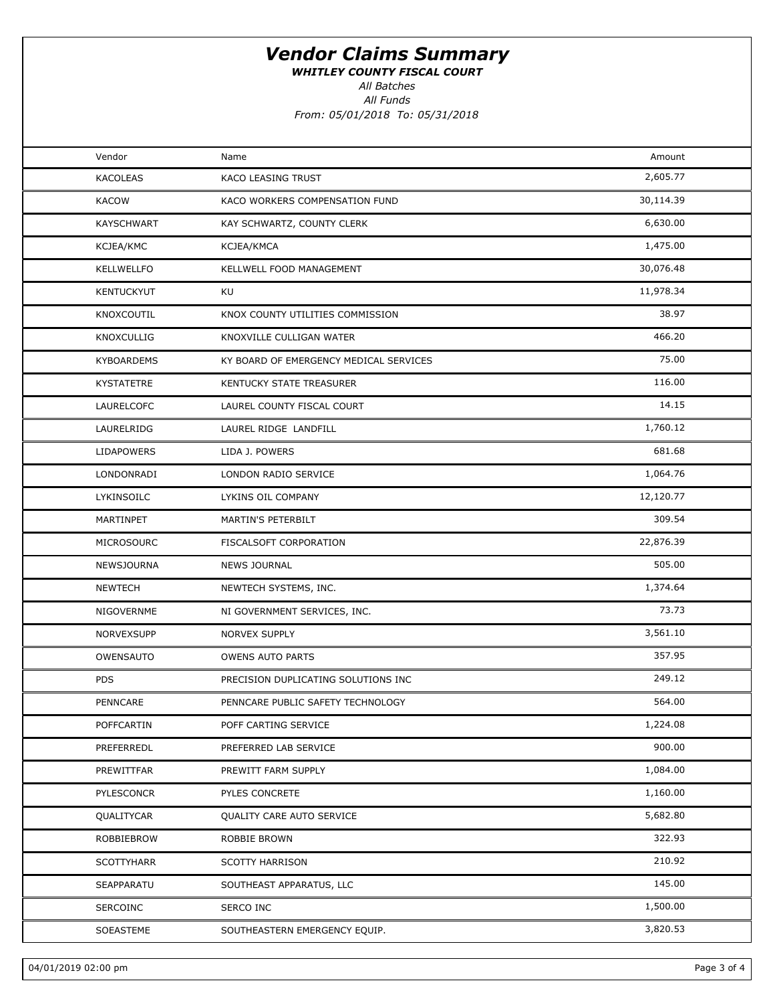WHITLEY COUNTY FISCAL COURT

All Batches

All Funds

From: 05/01/2018 To: 05/31/2018

| Vendor            | Name                                   | Amount    |  |
|-------------------|----------------------------------------|-----------|--|
| KACOLEAS          | KACO LEASING TRUST                     | 2,605.77  |  |
| <b>KACOW</b>      | KACO WORKERS COMPENSATION FUND         | 30,114.39 |  |
| <b>KAYSCHWART</b> | KAY SCHWARTZ, COUNTY CLERK             | 6,630.00  |  |
| KCJEA/KMC         | KCJEA/KMCA                             | 1,475.00  |  |
| <b>KELLWELLFO</b> | KELLWELL FOOD MANAGEMENT               | 30,076.48 |  |
| <b>KENTUCKYUT</b> | KU                                     | 11,978.34 |  |
| KNOXCOUTIL        | KNOX COUNTY UTILITIES COMMISSION       | 38.97     |  |
| <b>KNOXCULLIG</b> | KNOXVILLE CULLIGAN WATER               | 466.20    |  |
| <b>KYBOARDEMS</b> | KY BOARD OF EMERGENCY MEDICAL SERVICES | 75.00     |  |
| <b>KYSTATETRE</b> | KENTUCKY STATE TREASURER               | 116.00    |  |
| LAURELCOFC        | LAUREL COUNTY FISCAL COURT             | 14.15     |  |
| LAURELRIDG        | LAUREL RIDGE LANDFILL                  | 1,760.12  |  |
| <b>LIDAPOWERS</b> | LIDA J. POWERS                         | 681.68    |  |
| LONDONRADI        | LONDON RADIO SERVICE                   | 1,064.76  |  |
| LYKINSOILC        | LYKINS OIL COMPANY                     | 12,120.77 |  |
| MARTINPET         | MARTIN'S PETERBILT                     | 309.54    |  |
| MICROSOURC        | FISCALSOFT CORPORATION                 | 22,876.39 |  |
| NEWSJOURNA        | <b>NEWS JOURNAL</b>                    | 505.00    |  |
| <b>NEWTECH</b>    | NEWTECH SYSTEMS, INC.                  | 1,374.64  |  |
| NIGOVERNME        | NI GOVERNMENT SERVICES, INC.           | 73.73     |  |
| NORVEXSUPP        | NORVEX SUPPLY                          | 3,561.10  |  |
| OWENSAUTO         | <b>OWENS AUTO PARTS</b>                | 357.95    |  |
| <b>PDS</b>        | PRECISION DUPLICATING SOLUTIONS INC    | 249.12    |  |
| PENNCARE          | PENNCARE PUBLIC SAFETY TECHNOLOGY      | 564.00    |  |
| POFFCARTIN        | POFF CARTING SERVICE                   | 1,224.08  |  |
| PREFERREDL        | PREFERRED LAB SERVICE                  | 900.00    |  |
| PREWITTFAR        | PREWITT FARM SUPPLY                    | 1,084.00  |  |
| PYLESCONCR        | PYLES CONCRETE                         | 1,160.00  |  |
| QUALITYCAR        | QUALITY CARE AUTO SERVICE              | 5,682.80  |  |
| ROBBIEBROW        | ROBBIE BROWN                           | 322.93    |  |
| <b>SCOTTYHARR</b> | <b>SCOTTY HARRISON</b>                 | 210.92    |  |
| SEAPPARATU        | SOUTHEAST APPARATUS, LLC               | 145.00    |  |
| SERCOINC          | SERCO INC                              | 1,500.00  |  |
| SOEASTEME         | SOUTHEASTERN EMERGENCY EQUIP.          | 3,820.53  |  |
|                   |                                        |           |  |